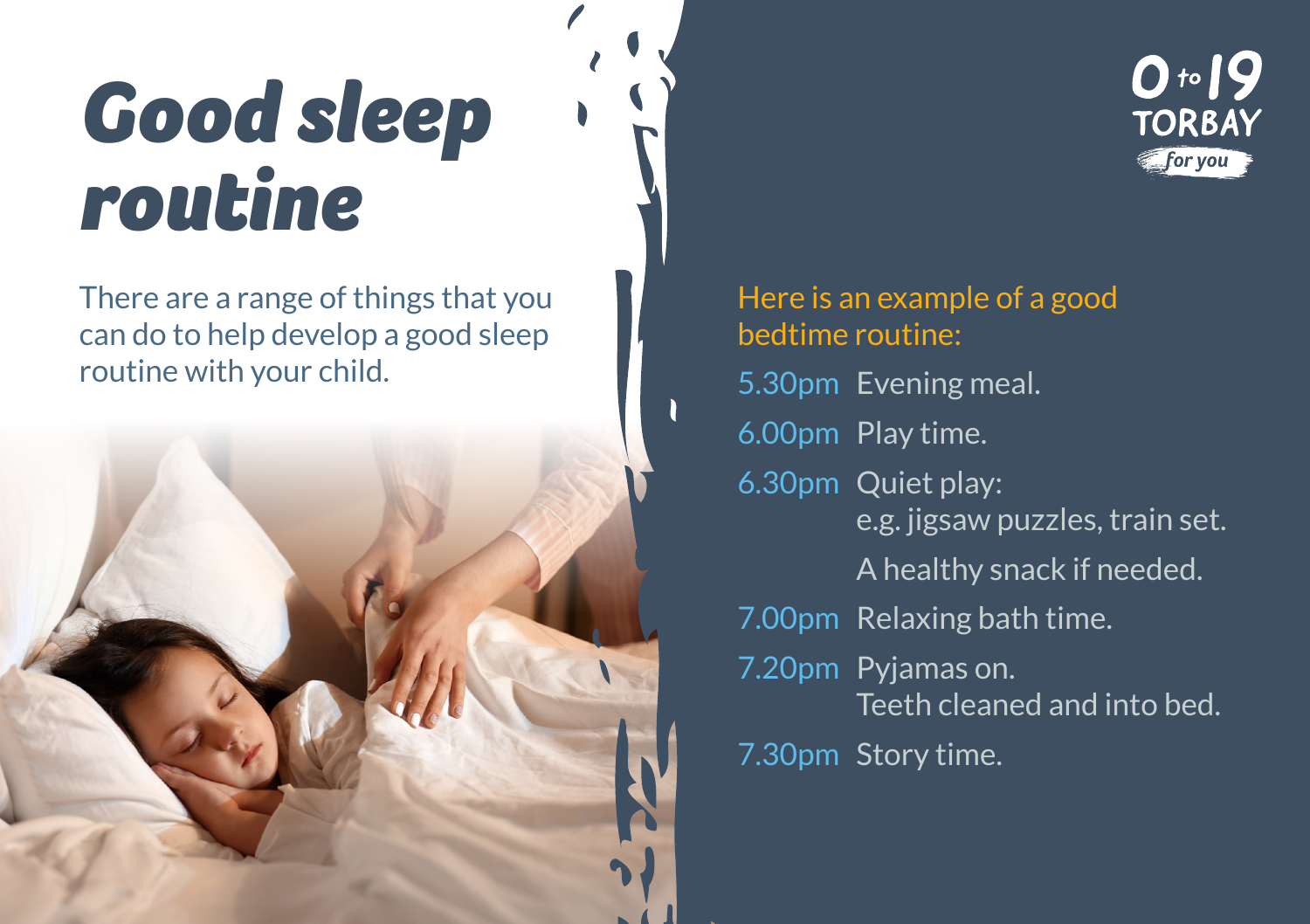## *Good sleep routine*

There are a range of things that you can do to help develop a good sleep routine with your child.





Here is an example of a good bedtime routine: 5.30pm Evening meal. 6.00pm Play time. 6.30pm Quiet play: e.g. jigsaw puzzles, train set. A healthy snack if needed. 7.00pm Relaxing bath time. 7.20pm Pyjamas on. Teeth cleaned and into bed. 7.30pm Story time.